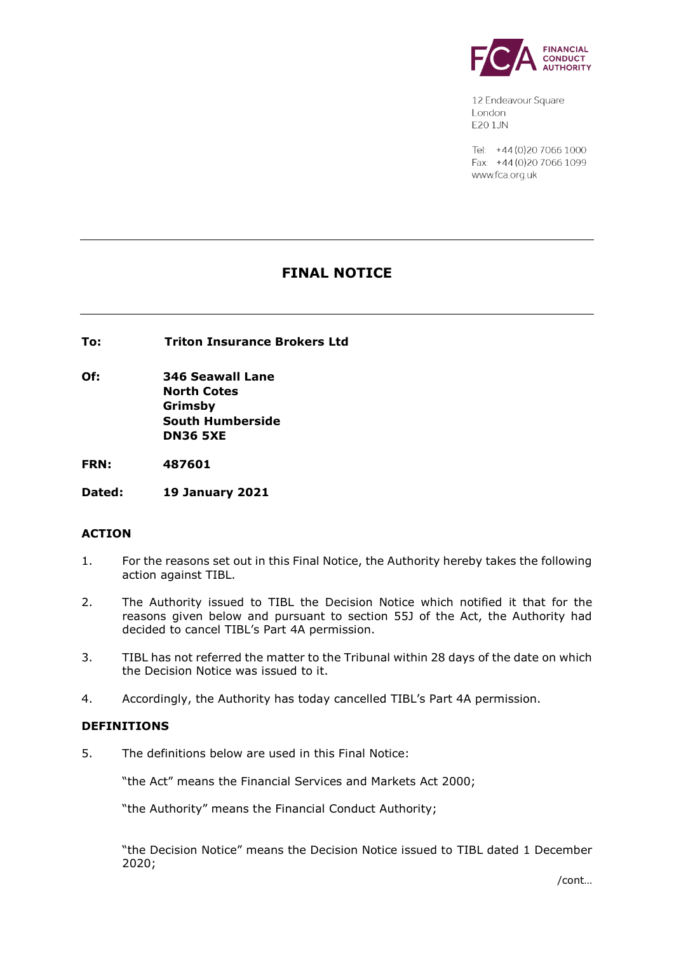

12 Endeavour Square London **E20 1.JN** 

Tel: +44 (0) 20 7066 1000 Fax: +44 (0) 20 7066 1099 www.fca.org.uk

# **FINAL NOTICE**

**To: Triton Insurance Brokers Ltd**

**Of: 346 Seawall Lane North Cotes Grimsby South Humberside DN36 5XE**

**FRN: 487601**

**Dated: 19 January 2021**

## **ACTION**

- 1. For the reasons set out in this Final Notice, the Authority hereby takes the following action against TIBL.
- 2. The Authority issued to TIBL the Decision Notice which notified it that for the reasons given below and pursuant to section 55J of the Act, the Authority had decided to cancel TIBL's Part 4A permission.
- 3. TIBL has not referred the matter to the Tribunal within 28 days of the date on which the Decision Notice was issued to it.
- 4. Accordingly, the Authority has today cancelled TIBL's Part 4A permission.

## **DEFINITIONS**

5. The definitions below are used in this Final Notice:

"the Act" means the Financial Services and Markets Act 2000;

"the Authority" means the Financial Conduct Authority;

"the Decision Notice" means the Decision Notice issued to TIBL dated 1 December 2020;

/cont…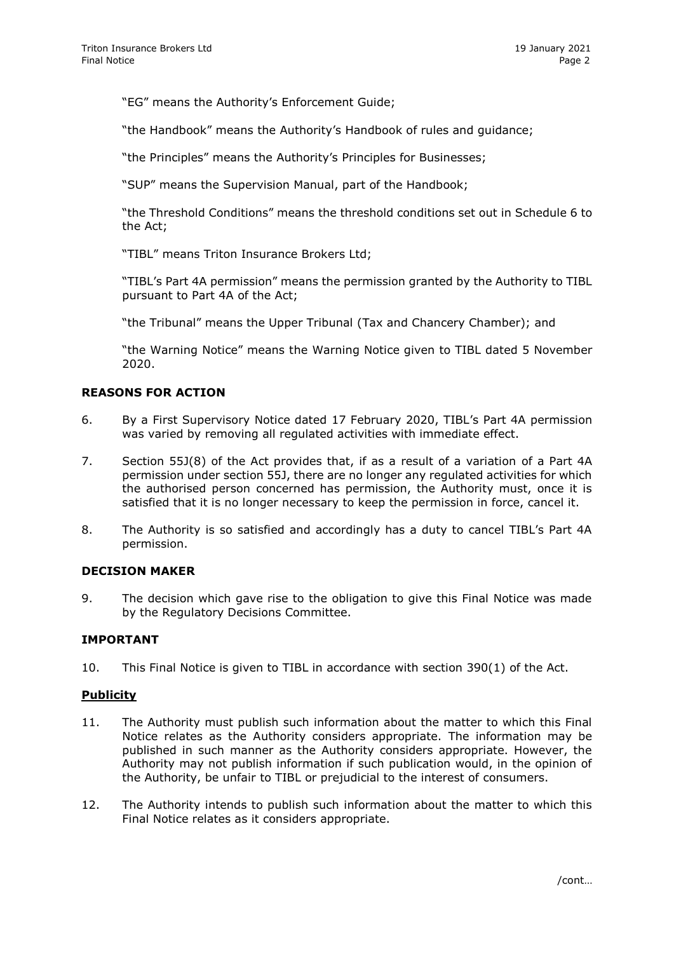"EG" means the Authority's Enforcement Guide;

"the Handbook" means the Authority's Handbook of rules and guidance;

"the Principles" means the Authority's Principles for Businesses;

"SUP" means the Supervision Manual, part of the Handbook;

"the Threshold Conditions" means the threshold conditions set out in Schedule 6 to the Act;

"TIBL" means Triton Insurance Brokers Ltd;

"TIBL's Part 4A permission" means the permission granted by the Authority to TIBL pursuant to Part 4A of the Act;

"the Tribunal" means the Upper Tribunal (Tax and Chancery Chamber); and

"the Warning Notice" means the Warning Notice given to TIBL dated 5 November 2020.

## **REASONS FOR ACTION**

- 6. By a First Supervisory Notice dated 17 February 2020, TIBL's Part 4A permission was varied by removing all regulated activities with immediate effect.
- 7. Section 55J(8) of the Act provides that, if as a result of a variation of a Part 4A permission under section 55J, there are no longer any regulated activities for which the authorised person concerned has permission, the Authority must, once it is satisfied that it is no longer necessary to keep the permission in force, cancel it.
- 8. The Authority is so satisfied and accordingly has a duty to cancel TIBL's Part 4A permission.

#### **DECISION MAKER**

9. The decision which gave rise to the obligation to give this Final Notice was made by the Regulatory Decisions Committee.

## **IMPORTANT**

10. This Final Notice is given to TIBL in accordance with section 390(1) of the Act.

#### **Publicity**

- 11. The Authority must publish such information about the matter to which this Final Notice relates as the Authority considers appropriate. The information may be published in such manner as the Authority considers appropriate. However, the Authority may not publish information if such publication would, in the opinion of the Authority, be unfair to TIBL or prejudicial to the interest of consumers.
- 12. The Authority intends to publish such information about the matter to which this Final Notice relates as it considers appropriate.